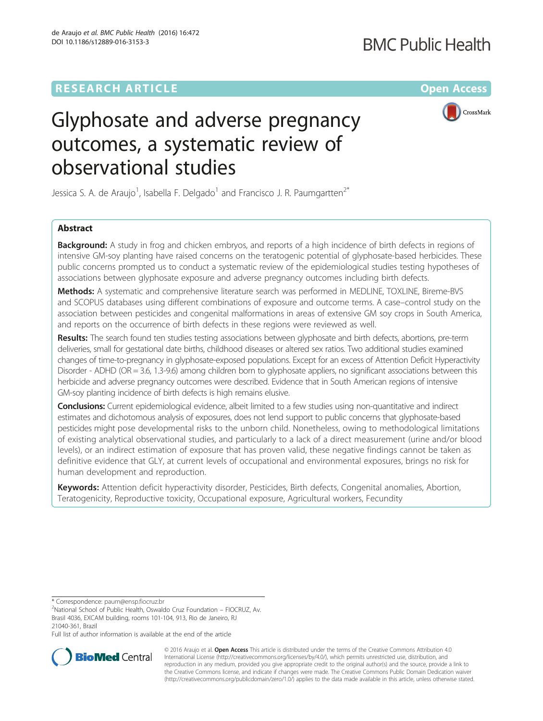## **RESEARCH ARTICLE Example 2014 12:30 The Community Community Community Community Community Community Community**



# Glyphosate and adverse pregnancy outcomes, a systematic review of observational studies

Jessica S. A. de Araujo<sup>1</sup>, Isabella F. Delgado<sup>1</sup> and Francisco J. R. Paumgartten<sup>2\*</sup>

## Abstract

**Background:** A study in frog and chicken embryos, and reports of a high incidence of birth defects in regions of intensive GM-soy planting have raised concerns on the teratogenic potential of glyphosate-based herbicides. These public concerns prompted us to conduct a systematic review of the epidemiological studies testing hypotheses of associations between glyphosate exposure and adverse pregnancy outcomes including birth defects.

Methods: A systematic and comprehensive literature search was performed in MEDLINE, TOXLINE, Bireme-BVS and SCOPUS databases using different combinations of exposure and outcome terms. A case–control study on the association between pesticides and congenital malformations in areas of extensive GM soy crops in South America, and reports on the occurrence of birth defects in these regions were reviewed as well.

Results: The search found ten studies testing associations between glyphosate and birth defects, abortions, pre-term deliveries, small for gestational date births, childhood diseases or altered sex ratios. Two additional studies examined changes of time-to-pregnancy in glyphosate-exposed populations. Except for an excess of Attention Deficit Hyperactivity Disorder - ADHD (OR = 3.6, 1.3-9.6) among children born to glyphosate appliers, no significant associations between this herbicide and adverse pregnancy outcomes were described. Evidence that in South American regions of intensive GM-soy planting incidence of birth defects is high remains elusive.

Conclusions: Current epidemiological evidence, albeit limited to a few studies using non-quantitative and indirect estimates and dichotomous analysis of exposures, does not lend support to public concerns that glyphosate-based pesticides might pose developmental risks to the unborn child. Nonetheless, owing to methodological limitations of existing analytical observational studies, and particularly to a lack of a direct measurement (urine and/or blood levels), or an indirect estimation of exposure that has proven valid, these negative findings cannot be taken as definitive evidence that GLY, at current levels of occupational and environmental exposures, brings no risk for human development and reproduction.

Keywords: Attention deficit hyperactivity disorder, Pesticides, Birth defects, Congenital anomalies, Abortion, Teratogenicity, Reproductive toxicity, Occupational exposure, Agricultural workers, Fecundity

\* Correspondence: [paum@ensp.fiocruz.br](mailto:paum@ensp.fiocruz.br) <sup>2</sup>

Full list of author information is available at the end of the article



© 2016 Araujo et al. Open Access This article is distributed under the terms of the Creative Commons Attribution 4.0 International License [\(http://creativecommons.org/licenses/by/4.0/](http://creativecommons.org/licenses/by/4.0/)), which permits unrestricted use, distribution, and reproduction in any medium, provided you give appropriate credit to the original author(s) and the source, provide a link to the Creative Commons license, and indicate if changes were made. The Creative Commons Public Domain Dedication waiver [\(http://creativecommons.org/publicdomain/zero/1.0/](http://creativecommons.org/publicdomain/zero/1.0/)) applies to the data made available in this article, unless otherwise stated.

<sup>&</sup>lt;sup>2</sup>National School of Public Health, Oswaldo Cruz Foundation – FIOCRUZ, Av. Brasil 4036, EXCAM building, rooms 101-104, 913, Rio de Janeiro, RJ 21040-361, Brazil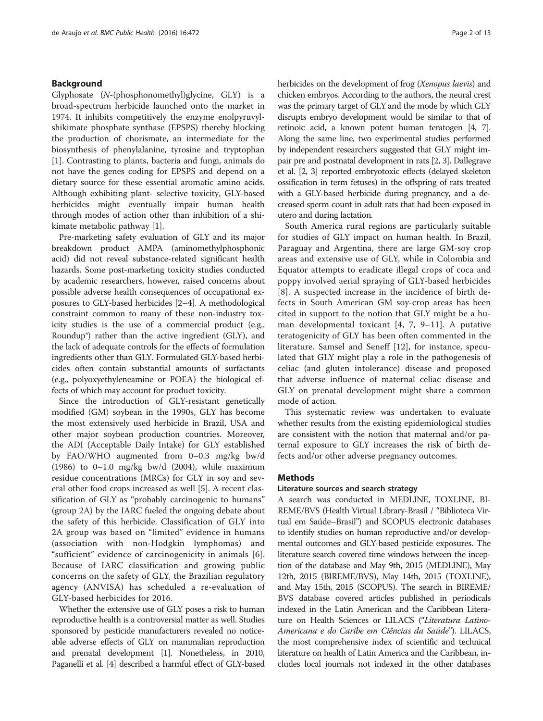### Background

Glyphosate (N-(phosphonomethyl)glycine, GLY) is a broad-spectrum herbicide launched onto the market in 1974. It inhibits competitively the enzyme enolpyruvylshikimate phosphate synthase (EPSPS) thereby blocking the production of chorismate, an intermediate for the biosynthesis of phenylalanine, tyrosine and tryptophan [[1\]](#page-11-0). Contrasting to plants, bacteria and fungi, animals do not have the genes coding for EPSPS and depend on a dietary source for these essential aromatic amino acids. Although exhibiting plant- selective toxicity, GLY-based herbicides might eventually impair human health through modes of action other than inhibition of a shikimate metabolic pathway [[1\]](#page-11-0).

Pre-marketing safety evaluation of GLY and its major breakdown product AMPA (aminomethylphosphonic acid) did not reveal substance-related significant health hazards. Some post-marketing toxicity studies conducted by academic researchers, however, raised concerns about possible adverse health consequences of occupational exposures to GLY-based herbicides [\[2](#page-11-0)–[4\]](#page-12-0). A methodological constraint common to many of these non-industry toxicity studies is the use of a commercial product (e.g., Roundup®) rather than the active ingredient (GLY), and the lack of adequate controls for the effects of formulation ingredients other than GLY. Formulated GLY-based herbicides often contain substantial amounts of surfactants (e.g., polyoxyethyleneamine or POEA) the biological effects of which may account for product toxicity.

Since the introduction of GLY-resistant genetically modified (GM) soybean in the 1990s, GLY has become the most extensively used herbicide in Brazil, USA and other major soybean production countries. Moreover, the ADI (Acceptable Daily Intake) for GLY established by FAO/WHO augmented from 0–0.3 mg/kg bw/d (1986) to 0–1.0 mg/kg bw/d (2004), while maximum residue concentrations (MRCs) for GLY in soy and several other food crops increased as well [\[5](#page-12-0)]. A recent classification of GLY as "probably carcinogenic to humans" (group 2A) by the IARC fueled the ongoing debate about the safety of this herbicide. Classification of GLY into 2A group was based on "limited" evidence in humans (association with non-Hodgkin lymphomas) and "sufficient" evidence of carcinogenicity in animals [[6](#page-12-0)]. Because of IARC classification and growing public concerns on the safety of GLY, the Brazilian regulatory agency (ANVISA) has scheduled a re-evaluation of GLY-based herbicides for 2016.

Whether the extensive use of GLY poses a risk to human reproductive health is a controversial matter as well. Studies sponsored by pesticide manufacturers revealed no noticeable adverse effects of GLY on mammalian reproduction and prenatal development [\[1](#page-11-0)]. Nonetheless, in 2010, Paganelli et al. [\[4\]](#page-12-0) described a harmful effect of GLY-based herbicides on the development of frog (Xenopus laevis) and chicken embryos. According to the authors, the neural crest was the primary target of GLY and the mode by which GLY disrupts embryo development would be similar to that of retinoic acid, a known potent human teratogen [\[4, 7](#page-12-0)]. Along the same line, two experimental studies performed by independent researchers suggested that GLY might impair pre and postnatal development in rats [\[2, 3](#page-11-0)]. Dallegrave et al. [[2](#page-11-0), [3\]](#page-11-0) reported embryotoxic effects (delayed skeleton ossification in term fetuses) in the offspring of rats treated with a GLY-based herbicide during pregnancy, and a decreased sperm count in adult rats that had been exposed in utero and during lactation.

South America rural regions are particularly suitable for studies of GLY impact on human health. In Brazil, Paraguay and Argentina, there are large GM-soy crop areas and extensive use of GLY, while in Colombia and Equator attempts to eradicate illegal crops of coca and poppy involved aerial spraying of GLY-based herbicides [[8\]](#page-12-0). A suspected increase in the incidence of birth defects in South American GM soy-crop areas has been cited in support to the notion that GLY might be a human developmental toxicant [\[4](#page-12-0), [7, 9](#page-12-0)–[11](#page-12-0)]. A putative teratogenicity of GLY has been often commented in the literature. Samsel and Seneff [[12\]](#page-12-0), for instance, speculated that GLY might play a role in the pathogenesis of celiac (and gluten intolerance) disease and proposed that adverse influence of maternal celiac disease and GLY on prenatal development might share a common mode of action.

This systematic review was undertaken to evaluate whether results from the existing epidemiological studies are consistent with the notion that maternal and/or paternal exposure to GLY increases the risk of birth defects and/or other adverse pregnancy outcomes.

#### Methods

#### Literature sources and search strategy

A search was conducted in MEDLINE, TOXLINE, BI-REME/BVS (Health Virtual Library-Brasil / "Biblioteca Virtual em Saúde–Brasil") and SCOPUS electronic databases to identify studies on human reproductive and/or developmental outcomes and GLY-based pesticide exposures. The literature search covered time windows between the inception of the database and May 9th, 2015 (MEDLINE), May 12th, 2015 (BIREME/BVS), May 14th, 2015 (TOXLINE), and May 15th, 2015 (SCOPUS). The search in BIREME/ BVS database covered articles published in periodicals indexed in the Latin American and the Caribbean Literature on Health Sciences or LILACS ("Literatura Latino-Americana e do Caribe em Ciências da Saúde"). LILACS, the most comprehensive index of scientific and technical literature on health of Latin America and the Caribbean, includes local journals not indexed in the other databases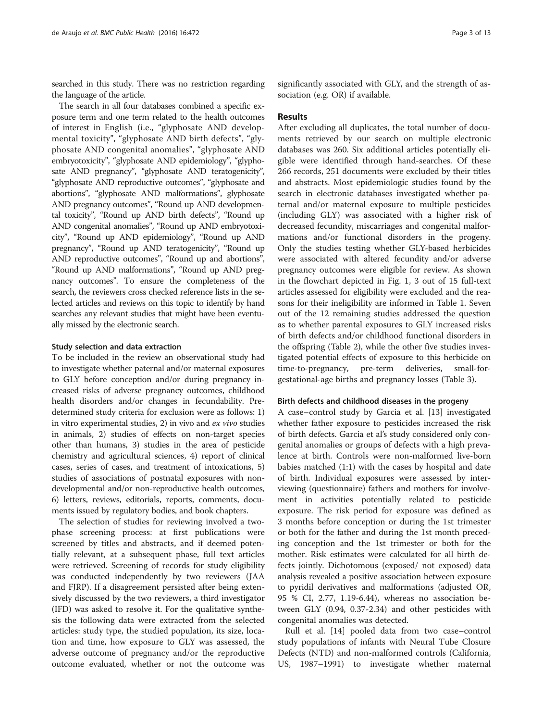searched in this study. There was no restriction regarding the language of the article.

The search in all four databases combined a specific exposure term and one term related to the health outcomes of interest in English (i.e., "glyphosate AND developmental toxicity", "glyphosate AND birth defects", "glyphosate AND congenital anomalies", "glyphosate AND embryotoxicity", "glyphosate AND epidemiology", "glyphosate AND pregnancy", "glyphosate AND teratogenicity", "glyphosate AND reproductive outcomes", "glyphosate and abortions", "glyphosate AND malformations", glyphosate AND pregnancy outcomes", "Round up AND developmental toxicity", "Round up AND birth defects", "Round up AND congenital anomalies", "Round up AND embryotoxicity", "Round up AND epidemiology", "Round up AND pregnancy", "Round up AND teratogenicity", "Round up AND reproductive outcomes", "Round up and abortions", "Round up AND malformations", "Round up AND pregnancy outcomes". To ensure the completeness of the search, the reviewers cross checked reference lists in the selected articles and reviews on this topic to identify by hand searches any relevant studies that might have been eventually missed by the electronic search.

#### Study selection and data extraction

To be included in the review an observational study had to investigate whether paternal and/or maternal exposures to GLY before conception and/or during pregnancy increased risks of adverse pregnancy outcomes, childhood health disorders and/or changes in fecundability. Predetermined study criteria for exclusion were as follows: 1) in vitro experimental studies, 2) in vivo and ex vivo studies in animals, 2) studies of effects on non-target species other than humans, 3) studies in the area of pesticide chemistry and agricultural sciences, 4) report of clinical cases, series of cases, and treatment of intoxications, 5) studies of associations of postnatal exposures with nondevelopmental and/or non-reproductive health outcomes, 6) letters, reviews, editorials, reports, comments, documents issued by regulatory bodies, and book chapters.

The selection of studies for reviewing involved a twophase screening process: at first publications were screened by titles and abstracts, and if deemed potentially relevant, at a subsequent phase, full text articles were retrieved. Screening of records for study eligibility was conducted independently by two reviewers (JAA and FJRP). If a disagreement persisted after being extensively discussed by the two reviewers, a third investigator (IFD) was asked to resolve it. For the qualitative synthesis the following data were extracted from the selected articles: study type, the studied population, its size, location and time, how exposure to GLY was assessed, the adverse outcome of pregnancy and/or the reproductive outcome evaluated, whether or not the outcome was significantly associated with GLY, and the strength of association (e.g. OR) if available.

#### Results

After excluding all duplicates, the total number of documents retrieved by our search on multiple electronic databases was 260. Six additional articles potentially eligible were identified through hand-searches. Of these 266 records, 251 documents were excluded by their titles and abstracts. Most epidemiologic studies found by the search in electronic databases investigated whether paternal and/or maternal exposure to multiple pesticides (including GLY) was associated with a higher risk of decreased fecundity, miscarriages and congenital malformations and/or functional disorders in the progeny. Only the studies testing whether GLY-based herbicides were associated with altered fecundity and/or adverse pregnancy outcomes were eligible for review. As shown in the flowchart depicted in Fig. [1,](#page-3-0) 3 out of 15 full-text articles assessed for eligibility were excluded and the reasons for their ineligibility are informed in Table [1](#page-3-0). Seven out of the 12 remaining studies addressed the question as to whether parental exposures to GLY increased risks of birth defects and/or childhood functional disorders in the offspring (Table [2\)](#page-4-0), while the other five studies investigated potential effects of exposure to this herbicide on time-to-pregnancy, pre-term deliveries, small-forgestational-age births and pregnancy losses (Table [3](#page-6-0)).

#### Birth defects and childhood diseases in the progeny

A case–control study by Garcia et al. [[13\]](#page-12-0) investigated whether father exposure to pesticides increased the risk of birth defects. Garcia et al's study considered only congenital anomalies or groups of defects with a high prevalence at birth. Controls were non-malformed live-born babies matched (1:1) with the cases by hospital and date of birth. Individual exposures were assessed by interviewing (questionnaire) fathers and mothers for involvement in activities potentially related to pesticide exposure. The risk period for exposure was defined as 3 months before conception or during the 1st trimester or both for the father and during the 1st month preceding conception and the 1st trimester or both for the mother. Risk estimates were calculated for all birth defects jointly. Dichotomous (exposed/ not exposed) data analysis revealed a positive association between exposure to pyridil derivatives and malformations (adjusted OR, 95 % CI, 2.77, 1.19-6.44), whereas no association between GLY (0.94, 0.37-2.34) and other pesticides with congenital anomalies was detected.

Rull et al. [[14](#page-12-0)] pooled data from two case–control study populations of infants with Neural Tube Closure Defects (NTD) and non-malformed controls (California, US, 1987–1991) to investigate whether maternal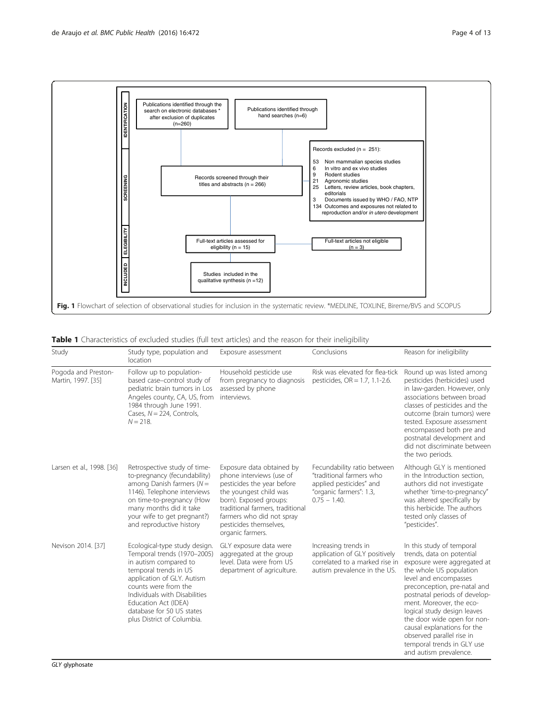<span id="page-3-0"></span>

Table 1 Characteristics of excluded studies (full text articles) and the reason for their ineligibility

| Study                                     | Study type, population and<br>location                                                                                                                                                                                                                                                   | Exposure assessment                                                                                                                                                                                                                                    | Conclusions                                                                                                                      | Reason for ineligibility                                                                                                                                                                                                                                                                                                                                                                                                 |
|-------------------------------------------|------------------------------------------------------------------------------------------------------------------------------------------------------------------------------------------------------------------------------------------------------------------------------------------|--------------------------------------------------------------------------------------------------------------------------------------------------------------------------------------------------------------------------------------------------------|----------------------------------------------------------------------------------------------------------------------------------|--------------------------------------------------------------------------------------------------------------------------------------------------------------------------------------------------------------------------------------------------------------------------------------------------------------------------------------------------------------------------------------------------------------------------|
| Pogoda and Preston-<br>Martin, 1997. [35] | Follow up to population-<br>based case-control study of<br>pediatric brain tumors in Los<br>Angeles county, CA, US, from<br>1984 through June 1991.<br>Cases, $N = 224$ , Controls,<br>$N = 218$ .                                                                                       | Household pesticide use<br>from pregnancy to diagnosis<br>assessed by phone<br>interviews.                                                                                                                                                             | Risk was elevated for flea-tick<br>pesticides, OR = 1.7, 1.1-2.6.                                                                | Round up was listed among<br>pesticides (herbicides) used<br>in law-garden. However, only<br>associations between broad<br>classes of pesticides and the<br>outcome (brain tumors) were<br>tested. Exposure assessment<br>encompassed both pre and<br>postnatal development and<br>did not discriminate between<br>the two periods.                                                                                      |
| Larsen et al., 1998. [36]                 | Retrospective study of time-<br>to-pregnancy (fecundability)<br>among Danish farmers ( $N =$<br>1146). Telephone interviews<br>on time-to-pregnancy (How<br>many months did it take<br>your wife to get pregnant?)<br>and reproductive history                                           | Exposure data obtained by<br>phone interviews (use of<br>pesticides the year before<br>the youngest child was<br>born). Exposed groups:<br>traditional farmers, traditional<br>farmers who did not spray<br>pesticides themselves,<br>organic farmers. | Fecundability ratio between<br>"traditional farmers who<br>applied pesticides" and<br>"organic farmers": 1.3,<br>$0.75 - 1.40$ . | Although GLY is mentioned<br>in the Introduction section,<br>authors did not investigate<br>whether 'time-to-pregnancy"<br>was altered specifically by<br>this herbicide. The authors<br>tested only classes of<br>"pesticides".                                                                                                                                                                                         |
| Nevison 2014. [37]                        | Ecological-type study design.<br>Temporal trends (1970-2005)<br>in autism compared to<br>temporal trends in US<br>application of GLY. Autism<br>counts were from the<br>Individuals with Disabilities<br>Education Act (IDEA)<br>database for 50 US states<br>plus District of Columbia. | GLY exposure data were<br>aggregated at the group<br>level. Data were from US<br>department of agriculture.                                                                                                                                            | Increasing trends in<br>application of GLY positively<br>correlated to a marked rise in<br>autism prevalence in the US.          | In this study of temporal<br>trends, data on potential<br>exposure were aggregated at<br>the whole US population<br>level and encompasses<br>preconception, pre-natal and<br>postnatal periods of develop-<br>ment. Moreover, the eco-<br>logical study design leaves<br>the door wide open for non-<br>causal explanations for the<br>observed parallel rise in<br>temporal trends in GLY use<br>and autism prevalence. |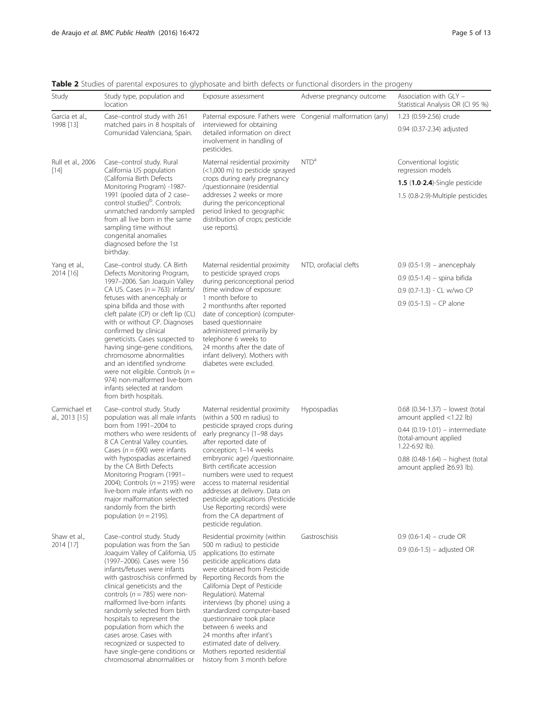<span id="page-4-0"></span>

| Table 2 Studies of parental exposures to glyphosate and birth defects or functional disorders in the progeny |  |  |  |
|--------------------------------------------------------------------------------------------------------------|--|--|--|
|                                                                                                              |  |  |  |

| Study                           | Study type, population and                                                                                                                                                                                                                                                                                                                                                                                                                                                                                                                                                                                                        | Exposure assessment                                                                                                                                                                                                                                                                                                                                                                                                                                                                         | Adverse pregnancy outcome | Association with GLY -                                                           |
|---------------------------------|-----------------------------------------------------------------------------------------------------------------------------------------------------------------------------------------------------------------------------------------------------------------------------------------------------------------------------------------------------------------------------------------------------------------------------------------------------------------------------------------------------------------------------------------------------------------------------------------------------------------------------------|---------------------------------------------------------------------------------------------------------------------------------------------------------------------------------------------------------------------------------------------------------------------------------------------------------------------------------------------------------------------------------------------------------------------------------------------------------------------------------------------|---------------------------|----------------------------------------------------------------------------------|
|                                 | location                                                                                                                                                                                                                                                                                                                                                                                                                                                                                                                                                                                                                          |                                                                                                                                                                                                                                                                                                                                                                                                                                                                                             |                           | Statistical Analysis OR (CI 95 %)                                                |
| Garcia et al.,<br>1998 [13]     | Case-control study with 261<br>matched pairs in 8 hospitals of<br>Comunidad Valenciana, Spain.                                                                                                                                                                                                                                                                                                                                                                                                                                                                                                                                    | Paternal exposure. Fathers were Congenial malformation (any)<br>interviewed for obtaining<br>detailed information on direct<br>involvement in handling of<br>pesticides.                                                                                                                                                                                                                                                                                                                    |                           | 1.23 (0.59-2.56) crude<br>0.94 (0.37-2.34) adjusted                              |
| Rull et al., 2006<br>$[14]$     | Case-control study. Rural<br>California US population                                                                                                                                                                                                                                                                                                                                                                                                                                                                                                                                                                             | Maternal residential proximity<br>(<1,000 m) to pesticide sprayed<br>crops during early pregnancy<br>/questionnaire (residential<br>addresses 2 weeks or more<br>during the periconceptional<br>period linked to geographic<br>distribution of crops; pesticide<br>use reports).                                                                                                                                                                                                            | NTD <sup>a</sup>          | Conventional logistic<br>regression models                                       |
|                                 | (California Birth Defects<br>Monitoring Program) -1987-                                                                                                                                                                                                                                                                                                                                                                                                                                                                                                                                                                           |                                                                                                                                                                                                                                                                                                                                                                                                                                                                                             |                           | 1.5 (1.0-2.4)-Single pesticide                                                   |
|                                 | 1991 (pooled data of 2 case-<br>control studies) <sup>b</sup> . Controls:<br>unmatched randomly sampled<br>from all live born in the same<br>sampling time without<br>congenital anomalies<br>diagnosed before the 1st<br>birthday.                                                                                                                                                                                                                                                                                                                                                                                               |                                                                                                                                                                                                                                                                                                                                                                                                                                                                                             |                           | 1.5 (0.8-2.9)-Multiple pesticides                                                |
| Yang et al.,                    | Case-control study. CA Birth                                                                                                                                                                                                                                                                                                                                                                                                                                                                                                                                                                                                      | Maternal residential proximity                                                                                                                                                                                                                                                                                                                                                                                                                                                              | NTD, orofacial clefts     | $0.9$ (0.5-1.9) – anencephaly                                                    |
| 2014 [16]                       | Defects Monitoring Program,<br>1997-2006. San Joaquin Valley                                                                                                                                                                                                                                                                                                                                                                                                                                                                                                                                                                      | to pesticide sprayed crops<br>during periconceptional period                                                                                                                                                                                                                                                                                                                                                                                                                                |                           | $0.9$ (0.5-1.4) – spina bifida                                                   |
|                                 | CA US. Cases ( $n = 763$ ): infants/<br>fetuses with anencephaly or                                                                                                                                                                                                                                                                                                                                                                                                                                                                                                                                                               | (time window of exposure:<br>1 month before to                                                                                                                                                                                                                                                                                                                                                                                                                                              |                           | 0.9 (0.7-1.3) - CL w/wo CP                                                       |
|                                 | spina bifida and those with<br>2 monthsnths after reported<br>cleft palate (CP) or cleft lip (CL)<br>date of conception) (computer-<br>with or without CP. Diagnoses<br>based questionnaire<br>confirmed by clinical<br>administered primarily by<br>telephone 6 weeks to<br>geneticists. Cases suspected to<br>24 months after the date of<br>having singe-gene conditions,<br>chromosome abnormalities<br>infant delivery). Mothers with<br>and an identified syndrome<br>diabetes were excluded.<br>were not eligible. Controls ( $n =$<br>974) non-malformed live-born<br>infants selected at random<br>from birth hospitals. |                                                                                                                                                                                                                                                                                                                                                                                                                                                                                             |                           | $0.9$ (0.5-1.5) - CP alone                                                       |
| Carmichael et<br>al., 2013 [15] | Case-control study. Study<br>population was all male infants<br>born from 1991-2004 to<br>mothers who were residents of<br>8 CA Central Valley counties.<br>Cases ( $n = 690$ ) were infants<br>with hypospadias ascertained<br>by the CA Birth Defects<br>Monitoring Program (1991-<br>2004); Controls ( $n = 2195$ ) were<br>live-born male infants with no<br>major malformation selected<br>randomly from the birth<br>population ( $n = 2195$ ).                                                                                                                                                                             | Maternal residential proximity<br>(within a 500 m radius) to<br>pesticide sprayed crops during<br>early pregnancy (1-98 days<br>after reported date of<br>conception; 1-14 weeks<br>embryonic age) /questionnaire.<br>Birth certificate accession<br>numbers were used to request<br>access to maternal residential<br>addresses at delivery. Data on<br>pesticide applications (Pesticide<br>Use Reporting records) were<br>from the CA department of<br>pesticide regulation.             | Hypospadias               | $0.68$ (0.34-1.37) – lowest (total<br>amount applied $<$ 1.22 lb)                |
|                                 |                                                                                                                                                                                                                                                                                                                                                                                                                                                                                                                                                                                                                                   |                                                                                                                                                                                                                                                                                                                                                                                                                                                                                             |                           | $0.44$ (0.19-1.01) – intermediate<br>(total-amount applied<br>$1.22 - 6.92$ lb). |
|                                 |                                                                                                                                                                                                                                                                                                                                                                                                                                                                                                                                                                                                                                   |                                                                                                                                                                                                                                                                                                                                                                                                                                                                                             |                           | $0.88$ (0.48-1.64) - highest (total<br>amount applied ≥6.93 lb).                 |
| Shaw et al.,<br>2014 [17]       | Case-control study. Study<br>population was from the San<br>Joaquim Valley of California, US<br>(1997-2006). Cases were 156<br>infants/fetuses were infants<br>with gastroschisis confirmed by<br>clinical geneticists and the<br>controls ( $n = 785$ ) were non-<br>malformed live-born infants<br>randomly selected from birth<br>hospitals to represent the<br>population from which the<br>cases arose. Cases with<br>recognized or suspected to<br>have single-gene conditions or<br>chromosomal abnormalities or                                                                                                           | Residential proximity (within<br>500 m radius) to pesticide<br>applications (to estimate<br>pesticide applications data<br>were obtained from Pesticide<br>Reporting Records from the<br>California Dept of Pesticide<br>Regulation). Maternal<br>interviews (by phone) using a<br>standardized computer-based<br>questionnaire took place<br>between 6 weeks and<br>24 months after infant's<br>estimated date of delivery.<br>Mothers reported residential<br>history from 3 month before | Gastroschisis             | $0.9$ (0.6-1.4) – crude OR<br>$0.9$ (0.6-1.5) – adjusted OR                      |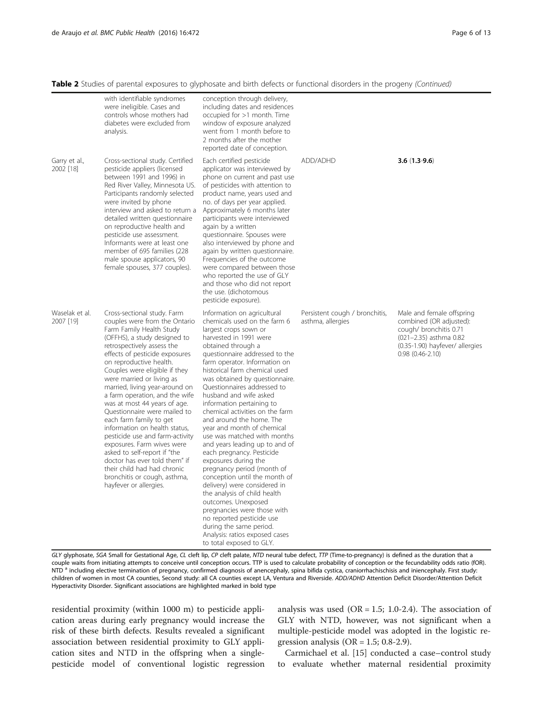| Table 2 Studies of parental exposures to glyphosate and birth defects or functional disorders in the progeny (Continued) |
|--------------------------------------------------------------------------------------------------------------------------|
|--------------------------------------------------------------------------------------------------------------------------|

|                             | with identifiable syndromes<br>were ineligible. Cases and<br>controls whose mothers had<br>diabetes were excluded from<br>analysis.                                                                                                                                                                                                                                                                                                                                                                                                                                                                                                                                                                          | conception through delivery,<br>including dates and residences<br>occupied for >1 month. Time<br>window of exposure analyzed<br>went from 1 month before to<br>2 months after the mother<br>reported date of conception.                                                                                                                                                                                                                                                                                                                                                                                                                                                                                                                                                                                                                                                                       |                                                     |                                                                                                                                                                    |
|-----------------------------|--------------------------------------------------------------------------------------------------------------------------------------------------------------------------------------------------------------------------------------------------------------------------------------------------------------------------------------------------------------------------------------------------------------------------------------------------------------------------------------------------------------------------------------------------------------------------------------------------------------------------------------------------------------------------------------------------------------|------------------------------------------------------------------------------------------------------------------------------------------------------------------------------------------------------------------------------------------------------------------------------------------------------------------------------------------------------------------------------------------------------------------------------------------------------------------------------------------------------------------------------------------------------------------------------------------------------------------------------------------------------------------------------------------------------------------------------------------------------------------------------------------------------------------------------------------------------------------------------------------------|-----------------------------------------------------|--------------------------------------------------------------------------------------------------------------------------------------------------------------------|
| Garry et al.,<br>2002 [18]  | Cross-sectional study. Certified<br>pesticide appliers (licensed<br>between 1991 and 1996) in<br>Red River Valley, Minnesota US.<br>Participants randomly selected<br>were invited by phone<br>interview and asked to return a<br>detailed written questionnaire<br>on reproductive health and<br>pesticide use assessment.<br>Informants were at least one<br>member of 695 families (228<br>male spouse applicators, 90<br>female spouses, 377 couples).                                                                                                                                                                                                                                                   | Each certified pesticide<br>applicator was interviewed by<br>phone on current and past use<br>of pesticides with attention to<br>product name, years used and<br>no. of days per year applied.<br>Approximately 6 months later<br>participants were interviewed<br>again by a written<br>questionnaire. Spouses were<br>also interviewed by phone and<br>again by written questionnaire.<br>Frequencies of the outcome<br>were compared between those<br>who reported the use of GLY<br>and those who did not report<br>the use. (dichotomous<br>pesticide exposure).                                                                                                                                                                                                                                                                                                                          | ADD/ADHD                                            | $3.6(1.3-9.6)$                                                                                                                                                     |
| Waselak et al.<br>2007 [19] | Cross-sectional study. Farm<br>couples were from the Ontario<br>Farm Family Health Study<br>(OFFHS), a study designed to<br>retrospectively assess the<br>effects of pesticide exposures<br>on reproductive health.<br>Couples were eligible if they<br>were married or living as<br>married, living year-around on<br>a farm operation, and the wife<br>was at most 44 years of age.<br>Questionnaire were mailed to<br>each farm family to get<br>information on health status.<br>pesticide use and farm-activity<br>exposures. Farm wives were<br>asked to self-report if "the<br>doctor has ever told them" if<br>their child had had chronic<br>bronchitis or cough, asthma,<br>hayfever or allergies. | Information on agricultural<br>chemicals used on the farm 6<br>largest crops sown or<br>harvested in 1991 were<br>obtained through a<br>questionnaire addressed to the<br>farm operator. Information on<br>historical farm chemical used<br>was obtained by questionnaire.<br>Questionnaires addressed to<br>husband and wife asked<br>information pertaining to<br>chemical activities on the farm<br>and around the home. The<br>year and month of chemical<br>use was matched with months<br>and years leading up to and of<br>each pregnancy. Pesticide<br>exposures during the<br>pregnancy period (month of<br>conception until the month of<br>delivery) were considered in<br>the analysis of child health<br>outcomes. Unexposed<br>pregnancies were those with<br>no reported pesticide use<br>during the same period.<br>Analysis: ratios exposed cases<br>to total exposed to GLY. | Persistent cough / bronchitis,<br>asthma, allergies | Male and female offspring<br>combined (OR adjusted):<br>cough/ bronchitis 0.71<br>(021-2.35) asthma 0.82<br>(0.35-1.90) hayfever/ allergies<br>$0.98(0.46 - 2.10)$ |

GLY glyphosate, SGA Small for Gestational Age, CL cleft lip, CP cleft palate, NTD neural tube defect, TTP (Time-to-pregnancy) is defined as the duration that a couple waits from initiating attempts to conceive until conception occurs. TTP is used to calculate probability of conception or the fecundability odds ratio (fOR). NTD<sup>a</sup> including elective termination of pregnancy, confirmed diagnosis of anencephaly, spina bifida cystica, craniorrhachischisis and iniencephaly. First study: children of women in most CA counties, Second study: all CA counties except LA, Ventura and Riverside. ADD/ADHD Attention Deficit Disorder/Attention Deficit Hyperactivity Disorder. Significant associations are highlighted marked in bold type

residential proximity (within 1000 m) to pesticide application areas during early pregnancy would increase the risk of these birth defects. Results revealed a significant association between residential proximity to GLY application sites and NTD in the offspring when a singlepesticide model of conventional logistic regression analysis was used (OR =  $1.5$ ; 1.0-2.4). The association of GLY with NTD, however, was not significant when a multiple-pesticide model was adopted in the logistic regression analysis ( $OR = 1.5$ ; 0.8-2.9).

Carmichael et al. [[15\]](#page-12-0) conducted a case–control study to evaluate whether maternal residential proximity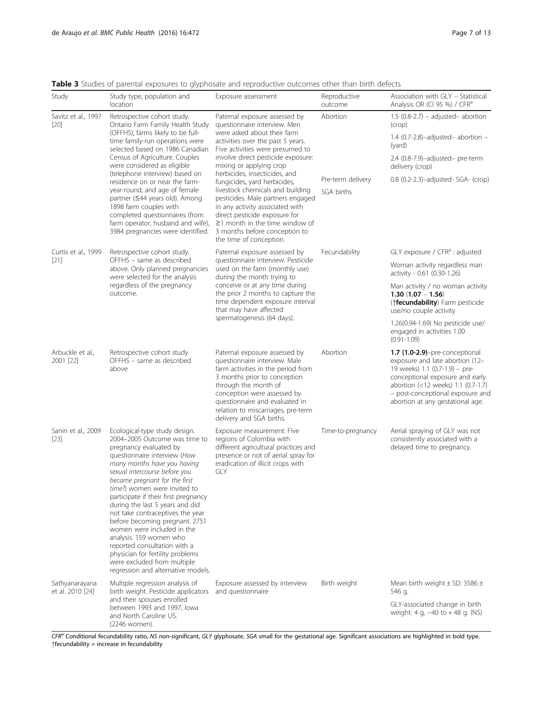<span id="page-6-0"></span>Table 3 Studies of parental exposures to glyphosate and reproductive outcomes other than birth defects

| Study                              | Study type, population and<br>location                                                                                                                                                                                                                                                                                                                                                                                                                                                                                                                                                                       | Exposure assessment                                                                                                                                                                                                                                                                                                                                                                                                                                                                                                                                      | Reproductive<br>outcome         | Association with GLY - Statistical<br>Analysis OR (CI 95 %) / CFR <sup>a</sup>                                                                                                                                                                       |
|------------------------------------|--------------------------------------------------------------------------------------------------------------------------------------------------------------------------------------------------------------------------------------------------------------------------------------------------------------------------------------------------------------------------------------------------------------------------------------------------------------------------------------------------------------------------------------------------------------------------------------------------------------|----------------------------------------------------------------------------------------------------------------------------------------------------------------------------------------------------------------------------------------------------------------------------------------------------------------------------------------------------------------------------------------------------------------------------------------------------------------------------------------------------------------------------------------------------------|---------------------------------|------------------------------------------------------------------------------------------------------------------------------------------------------------------------------------------------------------------------------------------------------|
| Savitz et al., 1997<br>$[20]$      | Retrospective cohort study.<br>Ontario Farm Family Health Study<br>(OFFHS), farms likely to be full-<br>time family-run operations were<br>selected based on 1986 Canadian                                                                                                                                                                                                                                                                                                                                                                                                                                   | Paternal exposure assessed by<br>questionnaire interview. Men<br>were asked about their farm<br>activities over the past 5 years.<br>Five activities were presumed to<br>involve direct pesticide exposure:<br>mixing or applying crop<br>herbicides, insecticides, and<br>fungicides, yard herbicides,<br>livestock chemicals and building<br>pesticides. Male partners engaged<br>in any activity associated with<br>direct pesticide exposure for<br>$\geq$ 1 month in the time window of<br>3 months before conception to<br>the time of conception. | Abortion                        | $1.5$ (0.8-2.7) – adjusted– abortion<br>(crop)<br>1.4 (0.7-2.8)-adjusted- abortion -<br>(yard)                                                                                                                                                       |
|                                    | Census of Agriculture. Couples<br>were considered as eligible<br>(telephone interview) based on                                                                                                                                                                                                                                                                                                                                                                                                                                                                                                              |                                                                                                                                                                                                                                                                                                                                                                                                                                                                                                                                                          |                                 | 2.4 (0.8-7.9)-adjusted- pre-term<br>delivery (crop)                                                                                                                                                                                                  |
|                                    | residence on or near the farm-<br>year-round, and age of female<br>partner (≤44 years old). Among<br>1898 farm couples with<br>completed questionnaires (from<br>farm operator, husband and wife),<br>3984 pregnancies were identified.                                                                                                                                                                                                                                                                                                                                                                      |                                                                                                                                                                                                                                                                                                                                                                                                                                                                                                                                                          | Pre-term delivery<br>SGA births | 0.8 (0.2-2.3)-adjusted- SGA- (crop)                                                                                                                                                                                                                  |
| Curtis et al., 1999<br>$[21]$      | Retrospective cohort study.<br>OFFHS - same as described                                                                                                                                                                                                                                                                                                                                                                                                                                                                                                                                                     | Paternal exposure assessed by<br>questionnaire interview. Pesticide                                                                                                                                                                                                                                                                                                                                                                                                                                                                                      | Fecundability                   | $GLY$ exposure / $CFRa$ : adjusted                                                                                                                                                                                                                   |
|                                    | above. Only planned pregnancies<br>were selected for the analysis                                                                                                                                                                                                                                                                                                                                                                                                                                                                                                                                            | used on the farm (monthly use)<br>during the month trying to                                                                                                                                                                                                                                                                                                                                                                                                                                                                                             |                                 | Woman activity regardless man<br>activity - 0.61 (0.30-1.26)                                                                                                                                                                                         |
|                                    | regardless of the pregnancy<br>outcome.                                                                                                                                                                                                                                                                                                                                                                                                                                                                                                                                                                      | conceive or at any time during<br>the prior 2 months to capture the<br>time dependent exposure interval<br>that may have affected<br>spermatogenesis (64 days).                                                                                                                                                                                                                                                                                                                                                                                          |                                 | Man activity / no woman activity<br>$1.30(1.07 - 1.56)$<br>(1fecundability) Farm pesticide<br>use/no couple activity                                                                                                                                 |
|                                    |                                                                                                                                                                                                                                                                                                                                                                                                                                                                                                                                                                                                              |                                                                                                                                                                                                                                                                                                                                                                                                                                                                                                                                                          |                                 | 1.26(0.94-1.69) No pesticide use/<br>engaged in activities 1.00<br>$(0.91 - 1.09)$                                                                                                                                                                   |
| Arbuckle et al.,<br>2001 [22]      | Retrospective cohort study.<br>OFFHS - same as described<br>above                                                                                                                                                                                                                                                                                                                                                                                                                                                                                                                                            | Paternal exposure assessed by<br>questionnaire interview. Male<br>farm activities in the period from<br>3 months prior to conception<br>through the month of<br>conception were assessed by<br>questionnaire and evaluated in<br>relation to miscarriages, pre-term<br>delivery and SGA births.                                                                                                                                                                                                                                                          | Abortion                        | 1.7 (1.0-2.9)-pre-conceptional<br>exposure and late abortion (12-<br>19 weeks) 1.1 (0.7-1.9) - pre-<br>conceptional exposure and early<br>abortion (<12 weeks) 1.1 (0.7-1.7)<br>- post-conceptional exposure and<br>abortion at any gestational age. |
| Sanin et al., 2009<br>$[23]$       | Ecological-type study design.<br>2004-2005 Outcome was time to<br>pregnancy evaluated by<br>questionnaire interview (How<br>many months have you having<br>sexual intercourse before you<br>became pregnant for the first<br>time?) women were invited to<br>participate if their first pregnancy<br>during the last 5 years and did<br>not take contraceptives the year<br>before becoming pregnant. 2751<br>women were included in the<br>analysis. 159 women who<br>reported consultation with a<br>physician for fertility problems<br>were excluded from multiple<br>regression and alternative models. | Exposure measurement: Five<br>regions of Colombia with<br>different agricultural practices and<br>presence or not of aerial spray for<br>eradication of illicit crops with<br>GLY                                                                                                                                                                                                                                                                                                                                                                        | Time-to-pregnancy               | Aerial spraying of GLY was not<br>consistently associated with a<br>delayed time to pregnancy.                                                                                                                                                       |
| Sathyanarayana<br>et al. 2010 [24] | Multiple regression analysis of<br>birth weight. Pesticide applicators<br>and their spouses enrolled<br>between 1993 and 1997, lowa<br>and North Caroline US.<br>(2246 women).                                                                                                                                                                                                                                                                                                                                                                                                                               | Exposure assessed by interview<br>and questionnaire                                                                                                                                                                                                                                                                                                                                                                                                                                                                                                      | Birth weight                    | Mean birth weight $\pm$ SD: 3586 $\pm$<br>546 g.<br>GLY-associated change in birth<br>weight: 4 g, -40 to +48 g. (NS)                                                                                                                                |

CFR<sup>a</sup> Conditional fecundability ratio, NS non-significant, GLY glyphosate, SGA small for the gestational age. Significant associations are highlighted in bold type. ↑fecundability = increase in fecundability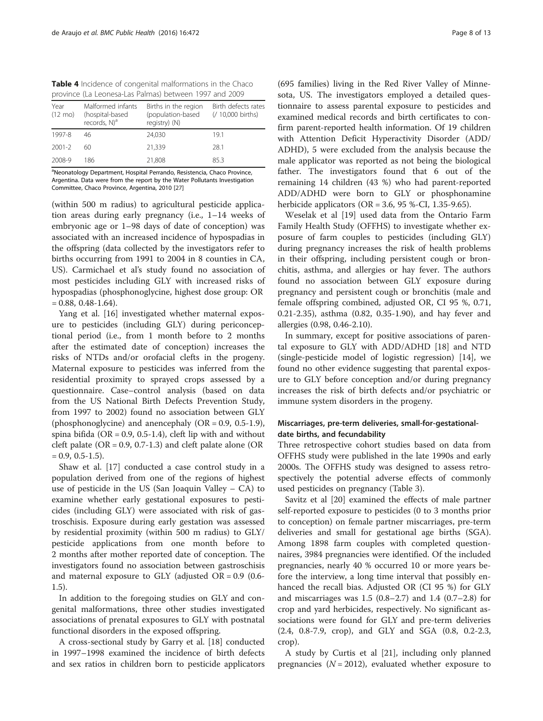<span id="page-7-0"></span>Table 4 Incidence of congenital malformations in the Chaco province (La Leonesa-Las Palmas) between 1997 and 2009

| Year<br>$(12 \text{ mo})$ | Malformed infants<br>(hospital-based<br>records, $N$ <sup>a</sup> | Births in the region<br>(population-based<br>registry) (N) | Birth defects rates<br>(/ 10,000 births) |
|---------------------------|-------------------------------------------------------------------|------------------------------------------------------------|------------------------------------------|
| 1997-8                    | 46                                                                | 24,030                                                     | 19.1                                     |
| 2001-2                    | 60                                                                | 21,339                                                     | 28.1                                     |
| 2008-9                    | 186.                                                              | 21,808                                                     | 85.3                                     |

<sup>a</sup>Neonatology Department, Hospital Perrando, Resistencia, Chaco Province, Argentina. Data were from the report by the Water Pollutants Investigation Committee, Chaco Province, Argentina, 2010 [[27\]](#page-12-0)

(within 500 m radius) to agricultural pesticide application areas during early pregnancy (i.e., 1–14 weeks of embryonic age or 1–98 days of date of conception) was associated with an increased incidence of hypospadias in the offspring (data collected by the investigators refer to births occurring from 1991 to 2004 in 8 counties in CA, US). Carmichael et al's study found no association of most pesticides including GLY with increased risks of hypospadias (phosphonoglycine, highest dose group: OR  $= 0.88, 0.48 - 1.64$ .

Yang et al. [[16](#page-12-0)] investigated whether maternal exposure to pesticides (including GLY) during periconceptional period (i.e., from 1 month before to 2 months after the estimated date of conception) increases the risks of NTDs and/or orofacial clefts in the progeny. Maternal exposure to pesticides was inferred from the residential proximity to sprayed crops assessed by a questionnaire. Case–control analysis (based on data from the US National Birth Defects Prevention Study, from 1997 to 2002) found no association between GLY (phosphonoglycine) and anencephaly  $(OR = 0.9, 0.5-1.9)$ , spina bifida ( $OR = 0.9$ , 0.5-1.4), cleft lip with and without cleft palate ( $OR = 0.9$ , 0.7-1.3) and cleft palate alone ( $OR$  $= 0.9, 0.5 - 1.5$ .

Shaw et al. [\[17\]](#page-12-0) conducted a case control study in a population derived from one of the regions of highest use of pesticide in the US (San Joaquin Valley – CA) to examine whether early gestational exposures to pesticides (including GLY) were associated with risk of gastroschisis. Exposure during early gestation was assessed by residential proximity (within 500 m radius) to GLY/ pesticide applications from one month before to 2 months after mother reported date of conception. The investigators found no association between gastroschisis and maternal exposure to GLY (adjusted OR = 0.9 (0.6- 1.5).

In addition to the foregoing studies on GLY and congenital malformations, three other studies investigated associations of prenatal exposures to GLY with postnatal functional disorders in the exposed offspring.

A cross-sectional study by Garry et al. [\[18](#page-12-0)] conducted in 1997–1998 examined the incidence of birth defects and sex ratios in children born to pesticide applicators

(695 families) living in the Red River Valley of Minnesota, US. The investigators employed a detailed questionnaire to assess parental exposure to pesticides and examined medical records and birth certificates to confirm parent-reported health information. Of 19 children with Attention Deficit Hyperactivity Disorder (ADD/ ADHD), 5 were excluded from the analysis because the male applicator was reported as not being the biological father. The investigators found that 6 out of the remaining 14 children (43 %) who had parent-reported ADD/ADHD were born to GLY or phosphonamine herbicide applicators (OR = 3.6, 95 %-CI, 1.35-9.65).

Weselak et al [[19\]](#page-12-0) used data from the Ontario Farm Family Health Study (OFFHS) to investigate whether exposure of farm couples to pesticides (including GLY) during pregnancy increases the risk of health problems in their offspring, including persistent cough or bronchitis, asthma, and allergies or hay fever. The authors found no association between GLY exposure during pregnancy and persistent cough or bronchitis (male and female offspring combined, adjusted OR, CI 95 %, 0.71, 0.21-2.35), asthma (0.82, 0.35-1.90), and hay fever and allergies (0.98, 0.46-2.10).

In summary, except for positive associations of parental exposure to GLY with ADD/ADHD [\[18\]](#page-12-0) and NTD (single-pesticide model of logistic regression) [[14\]](#page-12-0), we found no other evidence suggesting that parental exposure to GLY before conception and/or during pregnancy increases the risk of birth defects and/or psychiatric or immune system disorders in the progeny.

## Miscarriages, pre-term deliveries, small-for-gestationaldate births, and fecundability

Three retrospective cohort studies based on data from OFFHS study were published in the late 1990s and early 2000s. The OFFHS study was designed to assess retrospectively the potential adverse effects of commonly used pesticides on pregnancy (Table [3](#page-6-0)).

Savitz et al [\[20\]](#page-12-0) examined the effects of male partner self-reported exposure to pesticides (0 to 3 months prior to conception) on female partner miscarriages, pre-term deliveries and small for gestational age births (SGA). Among 1898 farm couples with completed questionnaires, 3984 pregnancies were identified. Of the included pregnancies, nearly 40 % occurred 10 or more years before the interview, a long time interval that possibly enhanced the recall bias. Adjusted OR (CI 95 %) for GLY and miscarriages was 1.5 (0.8–2.7) and 1.4 (0.7–2.8) for crop and yard herbicides, respectively. No significant associations were found for GLY and pre-term deliveries (2.4, 0.8-7.9, crop), and GLY and SGA (0.8, 0.2-2.3, crop).

A study by Curtis et al [\[21](#page-12-0)], including only planned pregnancies ( $N = 2012$ ), evaluated whether exposure to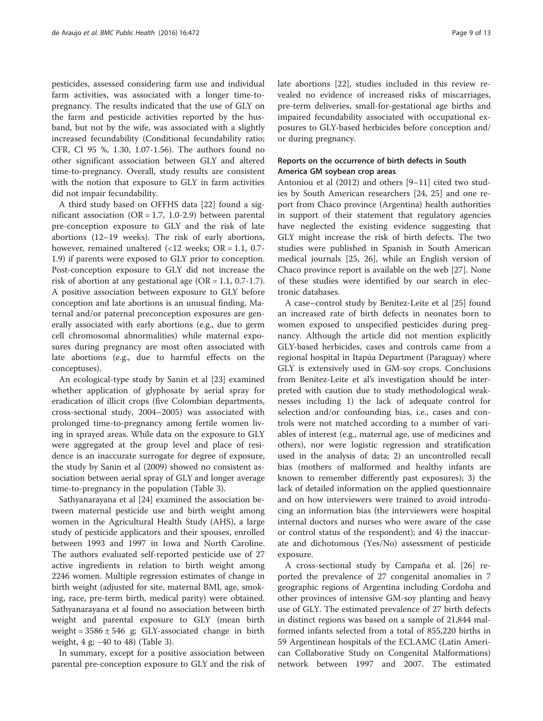pesticides, assessed considering farm use and individual farm activities, was associated with a longer time-topregnancy. The results indicated that the use of GLY on the farm and pesticide activities reported by the husband, but not by the wife, was associated with a slightly increased fecundability (Conditional fecundability ratio; CFR, CI 95 %, 1.30, 1.07-1.56). The authors found no other significant association between GLY and altered time-to-pregnancy. Overall, study results are consistent with the notion that exposure to GLY in farm activities did not impair fecundability.

A third study based on OFFHS data [\[22](#page-12-0)] found a significant association ( $OR = 1.7$ , 1.0-2.9) between parental pre-conception exposure to GLY and the risk of late abortions (12–19 weeks). The risk of early abortions, however, remained unaltered (<12 weeks; OR = 1.1, 0.7- 1.9) if parents were exposed to GLY prior to conception. Post-conception exposure to GLY did not increase the risk of abortion at any gestational age  $(OR = 1.1, 0.7 - 1.7)$ . A positive association between exposure to GLY before conception and late abortions is an unusual finding. Maternal and/or paternal preconception exposures are generally associated with early abortions (e.g., due to germ cell chromosomal abnormalities) while maternal exposures during pregnancy are most often associated with late abortions (e.g., due to harmful effects on the conceptuses).

An ecological-type study by Sanin et al [[23](#page-12-0)] examined whether application of glyphosate by aerial spray for eradication of illicit crops (five Colombian departments, cross-sectional study, 2004–2005) was associated with prolonged time-to-pregnancy among fertile women living in sprayed areas. While data on the exposure to GLY were aggregated at the group level and place of residence is an inaccurate surrogate for degree of exposure, the study by Sanin et al (2009) showed no consistent association between aerial spray of GLY and longer average time-to-pregnancy in the population (Table [3](#page-6-0)).

Sathyanarayana et al [[24\]](#page-12-0) examined the association between maternal pesticide use and birth weight among women in the Agricultural Health Study (AHS), a large study of pesticide applicators and their spouses, enrolled between 1993 and 1997 in Iowa and North Caroline. The authors evaluated self-reported pesticide use of 27 active ingredients in relation to birth weight among 2246 women. Multiple regression estimates of change in birth weight (adjusted for site, maternal BMI, age, smoking, race, pre-term birth, medical parity) were obtained. Sathyanarayana et al found no association between birth weight and parental exposure to GLY (mean birth weight =  $3586 \pm 546$  g; GLY-associated change in birth weight, 4 g; −40 to 48) (Table [3](#page-6-0)).

In summary, except for a positive association between parental pre-conception exposure to GLY and the risk of late abortions [\[22](#page-12-0)], studies included in this review revealed no evidence of increased risks of miscarriages, pre-term deliveries, small-for-gestational age births and impaired fecundability associated with occupational exposures to GLY-based herbicides before conception and/ or during pregnancy.

## Reports on the occurrence of birth defects in South America GM soybean crop areas

Antoniou et al (2012) and others [\[9](#page-12-0)–[11](#page-12-0)] cited two studies by South American researchers [[24, 25](#page-12-0)] and one report from Chaco province (Argentina) health authorities in support of their statement that regulatory agencies have neglected the existing evidence suggesting that GLY might increase the risk of birth defects. The two studies were published in Spanish in South American medical journals [\[25](#page-12-0), [26](#page-12-0)], while an English version of Chaco province report is available on the web [\[27](#page-12-0)]. None of these studies were identified by our search in electronic databases.

A case–control study by Benítez-Leite et al [\[25](#page-12-0)] found an increased rate of birth defects in neonates born to women exposed to unspecified pesticides during pregnancy. Although the article did not mention explicitly GLY-based herbicides, cases and controls came from a regional hospital in Itapúa Department (Paraguay) where GLY is extensively used in GM-soy crops. Conclusions from Benitez-Leite et al's investigation should be interpreted with caution due to study methodological weaknesses including 1) the lack of adequate control for selection and/or confounding bias, i.e., cases and controls were not matched according to a number of variables of interest (e.g., maternal age, use of medicines and others), nor were logistic regression and stratification used in the analysis of data; 2) an uncontrolled recall bias (mothers of malformed and healthy infants are known to remember differently past exposures); 3) the lack of detailed information on the applied questionnaire and on how interviewers were trained to avoid introducing an information bias (the interviewers were hospital internal doctors and nurses who were aware of the case or control status of the respondent); and 4) the inaccurate and dichotomous (Yes/No) assessment of pesticide exposure.

A cross-sectional study by Campaña et al. [\[26](#page-12-0)] reported the prevalence of 27 congenital anomalies in 7 geographic regions of Argentina including Cordoba and other provinces of intensive GM-soy planting and heavy use of GLY. The estimated prevalence of 27 birth defects in distinct regions was based on a sample of 21,844 malformed infants selected from a total of 855,220 births in 59 Argentinean hospitals of the ECLAMC (Latin American Collaborative Study on Congenital Malformations) network between 1997 and 2007. The estimated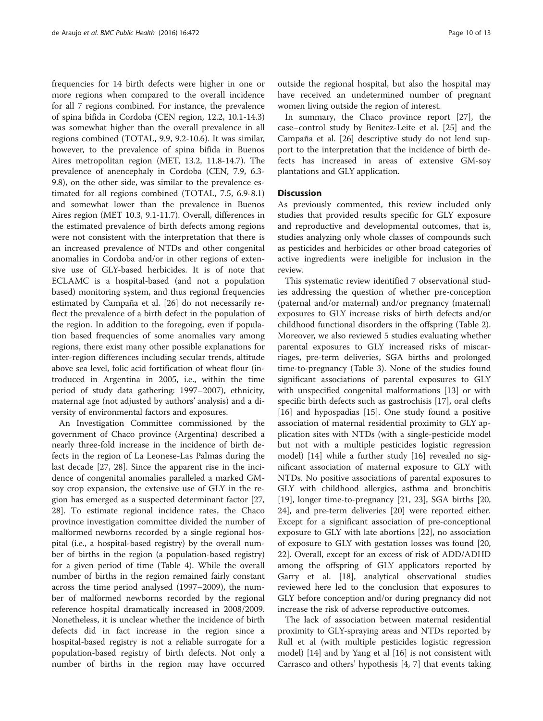frequencies for 14 birth defects were higher in one or more regions when compared to the overall incidence for all 7 regions combined. For instance, the prevalence of spina bifida in Cordoba (CEN region, 12.2, 10.1-14.3) was somewhat higher than the overall prevalence in all regions combined (TOTAL, 9.9, 9.2-10.6). It was similar, however, to the prevalence of spina bifida in Buenos Aires metropolitan region (MET, 13.2, 11.8-14.7). The prevalence of anencephaly in Cordoba (CEN, 7.9, 6.3- 9.8), on the other side, was similar to the prevalence estimated for all regions combined (TOTAL, 7.5, 6.9-8.1) and somewhat lower than the prevalence in Buenos Aires region (MET 10.3, 9.1-11.7). Overall, differences in the estimated prevalence of birth defects among regions were not consistent with the interpretation that there is an increased prevalence of NTDs and other congenital anomalies in Cordoba and/or in other regions of extensive use of GLY-based herbicides. It is of note that ECLAMC is a hospital-based (and not a population based) monitoring system, and thus regional frequencies estimated by Campaña et al. [[26\]](#page-12-0) do not necessarily reflect the prevalence of a birth defect in the population of the region. In addition to the foregoing, even if population based frequencies of some anomalies vary among regions, there exist many other possible explanations for inter-region differences including secular trends, altitude above sea level, folic acid fortification of wheat flour (introduced in Argentina in 2005, i.e., within the time period of study data gathering: 1997–2007), ethnicity, maternal age (not adjusted by authors' analysis) and a diversity of environmental factors and exposures.

An Investigation Committee commissioned by the government of Chaco province (Argentina) described a nearly three-fold increase in the incidence of birth defects in the region of La Leonese-Las Palmas during the last decade [\[27](#page-12-0), [28\]](#page-12-0). Since the apparent rise in the incidence of congenital anomalies paralleled a marked GMsoy crop expansion, the extensive use of GLY in the region has emerged as a suspected determinant factor [[27](#page-12-0), [28\]](#page-12-0). To estimate regional incidence rates, the Chaco province investigation committee divided the number of malformed newborns recorded by a single regional hospital (i.e., a hospital-based registry) by the overall number of births in the region (a population-based registry) for a given period of time (Table [4](#page-7-0)). While the overall number of births in the region remained fairly constant across the time period analysed (1997–2009), the number of malformed newborns recorded by the regional reference hospital dramatically increased in 2008/2009. Nonetheless, it is unclear whether the incidence of birth defects did in fact increase in the region since a hospital-based registry is not a reliable surrogate for a population-based registry of birth defects. Not only a number of births in the region may have occurred

outside the regional hospital, but also the hospital may have received an undetermined number of pregnant women living outside the region of interest.

In summary, the Chaco province report [[27\]](#page-12-0), the case–control study by Benitez-Leite et al. [[25\]](#page-12-0) and the Campaña et al. [[26](#page-12-0)] descriptive study do not lend support to the interpretation that the incidence of birth defects has increased in areas of extensive GM-soy plantations and GLY application.

#### **Discussion**

As previously commented, this review included only studies that provided results specific for GLY exposure and reproductive and developmental outcomes, that is, studies analyzing only whole classes of compounds such as pesticides and herbicides or other broad categories of active ingredients were ineligible for inclusion in the review.

This systematic review identified 7 observational studies addressing the question of whether pre-conception (paternal and/or maternal) and/or pregnancy (maternal) exposures to GLY increase risks of birth defects and/or childhood functional disorders in the offspring (Table [2](#page-4-0)). Moreover, we also reviewed 5 studies evaluating whether parental exposures to GLY increased risks of miscarriages, pre-term deliveries, SGA births and prolonged time-to-pregnancy (Table [3\)](#page-6-0). None of the studies found significant associations of parental exposures to GLY with unspecified congenital malformations [\[13](#page-12-0)] or with specific birth defects such as gastrochisis [\[17\]](#page-12-0), oral clefts [[16\]](#page-12-0) and hypospadias [[15\]](#page-12-0). One study found a positive association of maternal residential proximity to GLY application sites with NTDs (with a single-pesticide model but not with a multiple pesticides logistic regression model) [[14\]](#page-12-0) while a further study [\[16](#page-12-0)] revealed no significant association of maternal exposure to GLY with NTDs. No positive associations of parental exposures to GLY with childhood allergies, asthma and bronchitis [[19\]](#page-12-0), longer time-to-pregnancy [[21, 23](#page-12-0)], SGA births [[20](#page-12-0), [24\]](#page-12-0), and pre-term deliveries [\[20](#page-12-0)] were reported either. Except for a significant association of pre-conceptional exposure to GLY with late abortions [[22](#page-12-0)], no association of exposure to GLY with gestation losses was found [[20](#page-12-0), [22\]](#page-12-0). Overall, except for an excess of risk of ADD/ADHD among the offspring of GLY applicators reported by Garry et al. [\[18](#page-12-0)], analytical observational studies reviewed here led to the conclusion that exposures to GLY before conception and/or during pregnancy did not increase the risk of adverse reproductive outcomes.

The lack of association between maternal residential proximity to GLY-spraying areas and NTDs reported by Rull et al (with multiple pesticides logistic regression model) [[14\]](#page-12-0) and by Yang et al [[16\]](#page-12-0) is not consistent with Carrasco and others' hypothesis [[4, 7](#page-12-0)] that events taking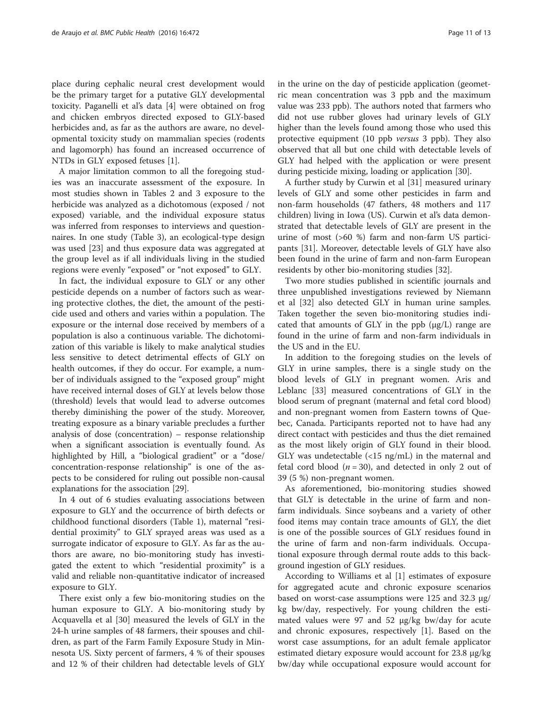place during cephalic neural crest development would be the primary target for a putative GLY developmental toxicity. Paganelli et al's data [\[4](#page-12-0)] were obtained on frog and chicken embryos directed exposed to GLY-based herbicides and, as far as the authors are aware, no developmental toxicity study on mammalian species (rodents and lagomorph) has found an increased occurrence of NTDs in GLY exposed fetuses [[1\]](#page-11-0).

A major limitation common to all the foregoing studies was an inaccurate assessment of the exposure. In most studies shown in Tables [2](#page-4-0) and [3](#page-6-0) exposure to the herbicide was analyzed as a dichotomous (exposed / not exposed) variable, and the individual exposure status was inferred from responses to interviews and questionnaires. In one study (Table [3](#page-6-0)), an ecological-type design was used [[23](#page-12-0)] and thus exposure data was aggregated at the group level as if all individuals living in the studied regions were evenly "exposed" or "not exposed" to GLY.

In fact, the individual exposure to GLY or any other pesticide depends on a number of factors such as wearing protective clothes, the diet, the amount of the pesticide used and others and varies within a population. The exposure or the internal dose received by members of a population is also a continuous variable. The dichotomization of this variable is likely to make analytical studies less sensitive to detect detrimental effects of GLY on health outcomes, if they do occur. For example, a number of individuals assigned to the "exposed group" might have received internal doses of GLY at levels below those (threshold) levels that would lead to adverse outcomes thereby diminishing the power of the study. Moreover, treating exposure as a binary variable precludes a further analysis of dose (concentration) – response relationship when a significant association is eventually found. As highlighted by Hill, a "biological gradient" or a "dose/ concentration-response relationship" is one of the aspects to be considered for ruling out possible non-causal explanations for the association [\[29\]](#page-12-0).

In 4 out of 6 studies evaluating associations between exposure to GLY and the occurrence of birth defects or childhood functional disorders (Table [1](#page-3-0)), maternal "residential proximity" to GLY sprayed areas was used as a surrogate indicator of exposure to GLY. As far as the authors are aware, no bio-monitoring study has investigated the extent to which "residential proximity" is a valid and reliable non-quantitative indicator of increased exposure to GLY.

There exist only a few bio-monitoring studies on the human exposure to GLY. A bio-monitoring study by Acquavella et al [[30\]](#page-12-0) measured the levels of GLY in the 24-h urine samples of 48 farmers, their spouses and children, as part of the Farm Family Exposure Study in Minnesota US. Sixty percent of farmers, 4 % of their spouses and 12 % of their children had detectable levels of GLY in the urine on the day of pesticide application (geometric mean concentration was 3 ppb and the maximum value was 233 ppb). The authors noted that farmers who did not use rubber gloves had urinary levels of GLY higher than the levels found among those who used this protective equipment (10 ppb versus 3 ppb). They also observed that all but one child with detectable levels of GLY had helped with the application or were present during pesticide mixing, loading or application [\[30](#page-12-0)].

A further study by Curwin et al [\[31](#page-12-0)] measured urinary levels of GLY and some other pesticides in farm and non-farm households (47 fathers, 48 mothers and 117 children) living in Iowa (US). Curwin et al's data demonstrated that detectable levels of GLY are present in the urine of most (>60 %) farm and non-farm US participants [\[31](#page-12-0)]. Moreover, detectable levels of GLY have also been found in the urine of farm and non-farm European residents by other bio-monitoring studies [[32\]](#page-12-0).

Two more studies published in scientific journals and three unpublished investigations reviewed by Niemann et al [[32\]](#page-12-0) also detected GLY in human urine samples. Taken together the seven bio-monitoring studies indicated that amounts of GLY in the ppb  $(\mu g/L)$  range are found in the urine of farm and non-farm individuals in the US and in the EU.

In addition to the foregoing studies on the levels of GLY in urine samples, there is a single study on the blood levels of GLY in pregnant women. Aris and Leblanc [\[33](#page-12-0)] measured concentrations of GLY in the blood serum of pregnant (maternal and fetal cord blood) and non-pregnant women from Eastern towns of Quebec, Canada. Participants reported not to have had any direct contact with pesticides and thus the diet remained as the most likely origin of GLY found in their blood. GLY was undetectable  $\left($ <15 ng/mL) in the maternal and fetal cord blood  $(n = 30)$ , and detected in only 2 out of 39 (5 %) non-pregnant women.

As aforementioned, bio-monitoring studies showed that GLY is detectable in the urine of farm and nonfarm individuals. Since soybeans and a variety of other food items may contain trace amounts of GLY, the diet is one of the possible sources of GLY residues found in the urine of farm and non-farm individuals. Occupational exposure through dermal route adds to this background ingestion of GLY residues.

According to Williams et al [[1](#page-11-0)] estimates of exposure for aggregated acute and chronic exposure scenarios based on worst-case assumptions were 125 and 32.3 μg/ kg bw/day, respectively. For young children the estimated values were 97 and 52 μg/kg bw/day for acute and chronic exposures, respectively [\[1](#page-11-0)]. Based on the worst case assumptions, for an adult female applicator estimated dietary exposure would account for 23.8 μg/kg bw/day while occupational exposure would account for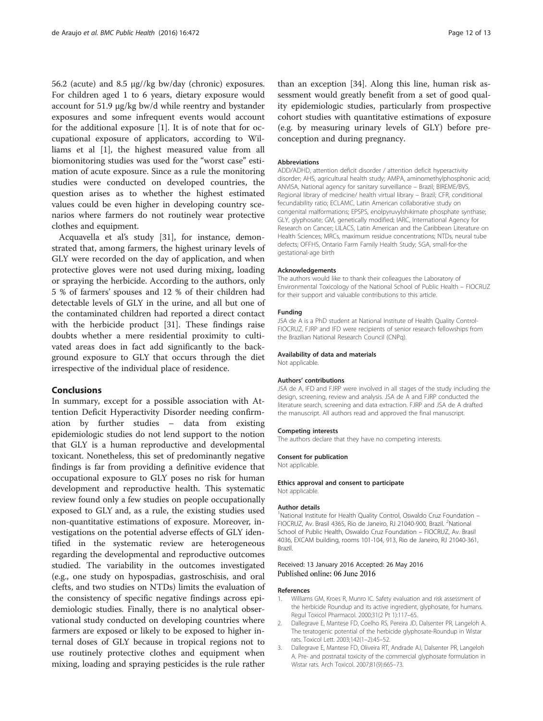<span id="page-11-0"></span>56.2 (acute) and 8.5 μg//kg bw/day (chronic) exposures. For children aged 1 to 6 years, dietary exposure would account for 51.9 μg/kg bw/d while reentry and bystander exposures and some infrequent events would account for the additional exposure [1]. It is of note that for occupational exposure of applicators, according to Williams et al [1], the highest measured value from all biomonitoring studies was used for the "worst case" estimation of acute exposure. Since as a rule the monitoring studies were conducted on developed countries, the question arises as to whether the highest estimated values could be even higher in developing country scenarios where farmers do not routinely wear protective clothes and equipment.

Acquavella et al's study [\[31\]](#page-12-0), for instance, demonstrated that, among farmers, the highest urinary levels of GLY were recorded on the day of application, and when protective gloves were not used during mixing, loading or spraying the herbicide. According to the authors, only 5 % of farmers' spouses and 12 % of their children had detectable levels of GLY in the urine, and all but one of the contaminated children had reported a direct contact with the herbicide product [[31\]](#page-12-0). These findings raise doubts whether a mere residential proximity to cultivated areas does in fact add significantly to the background exposure to GLY that occurs through the diet irrespective of the individual place of residence.

#### Conclusions

In summary, except for a possible association with Attention Deficit Hyperactivity Disorder needing confirmation by further studies – data from existing epidemiologic studies do not lend support to the notion that GLY is a human reproductive and developmental toxicant. Nonetheless, this set of predominantly negative findings is far from providing a definitive evidence that occupational exposure to GLY poses no risk for human development and reproductive health. This systematic review found only a few studies on people occupationally exposed to GLY and, as a rule, the existing studies used non-quantitative estimations of exposure. Moreover, investigations on the potential adverse effects of GLY identified in the systematic review are heterogeneous regarding the developmental and reproductive outcomes studied. The variability in the outcomes investigated (e.g., one study on hypospadias, gastroschisis, and oral clefts, and two studies on NTDs) limits the evaluation of the consistency of specific negative findings across epidemiologic studies. Finally, there is no analytical observational study conducted on developing countries where farmers are exposed or likely to be exposed to higher internal doses of GLY because in tropical regions not to use routinely protective clothes and equipment when mixing, loading and spraying pesticides is the rule rather

than an exception [\[34](#page-12-0)]. Along this line, human risk assessment would greatly benefit from a set of good quality epidemiologic studies, particularly from prospective cohort studies with quantitative estimations of exposure (e.g. by measuring urinary levels of GLY) before preconception and during pregnancy.

#### **Abbreviations**

ADD/ADHD, attention deficit disorder / attention deficit hyperactivity disorder; AHS, agricultural health study; AMPA, aminomethylphosphonic acid; ANVISA, National agency for sanitary surveillance – Brazil; BIREME/BVS, Regional library of medicine/ health virtual library – Brazil; CFR, conditional fecundability ratio; ECLAMC, Latin American collaborative study on congenital malformations; EPSPS, enolpyruvylshikimate phosphate synthase; GLY, glyphosate; GM, genetically modified; IARC, International Agency for Research on Cancer; LILACS, Latin American and the Caribbean Literature on Health Sciences; MRCs, maximum residue concentrations; NTDs, neural tube defects; OFFHS, Ontario Farm Family Health Study; SGA, small-for-the gestational-age birth

#### Acknowledgements

The authors would like to thank their colleagues the Laboratory of Environmental Toxicology of the National School of Public Health – FIOCRUZ for their support and valuable contributions to this article.

#### Funding

JSA de A is a PhD student at National Institute of Health Quality Control-FIOCRUZ. FJRP and IFD were recipients of senior research fellowships from the Brazilian National Research Council (CNPq).

#### Availability of data and materials

Not applicable.

#### Authors' contributions

JSA de A, IFD and FJRP were involved in all stages of the study including the design, screening, review and analysis. JSA de A and FJRP conducted the literature search, screening and data extraction. FJRP and JSA de A drafted the manuscript. All authors read and approved the final manuscript.

#### Competing interests

The authors declare that they have no competing interests.

#### Consent for publication

Not applicable.

Ethics approval and consent to participate Not applicable.

#### Author details

<sup>1</sup>National Institute for Health Quality Control, Oswaldo Cruz Foundation -FIOCRUZ, Av. Brasil 4365, Rio de Janeiro, RJ 21040-900, Brazil. <sup>2</sup>National School of Public Health, Oswaldo Cruz Foundation – FIOCRUZ, Av. Brasil 4036, EXCAM building, rooms 101-104, 913, Rio de Janeiro, RJ 21040-361, Brazil.

#### Received: 13 January 2016 Accepted: 26 May 2016 Published online: 06 June 2016

#### References

- 1. Williams GM, Kroes R, Munro IC. Safety evaluation and risk assessment of the herbicide Roundup and its active ingredient, glyphosate, for humans. Regul Toxicol Pharmacol. 2000;31(2 Pt 1):117–65.
- 2. Dallegrave E, Mantese FD, Coelho RS, Pereira JD, Dalsenter PR, Langeloh A. The teratogenic potential of the herbicide glyphosate-Roundup in Wistar rats. Toxicol Lett. 2003;142(1–2):45–52.
- 3. Dallegrave E, Mantese FD, Oliveira RT, Andrade AJ, Dalsenter PR, Langeloh A. Pre- and postnatal toxicity of the commercial glyphosate formulation in Wistar rats. Arch Toxicol. 2007;81(9):665–73.